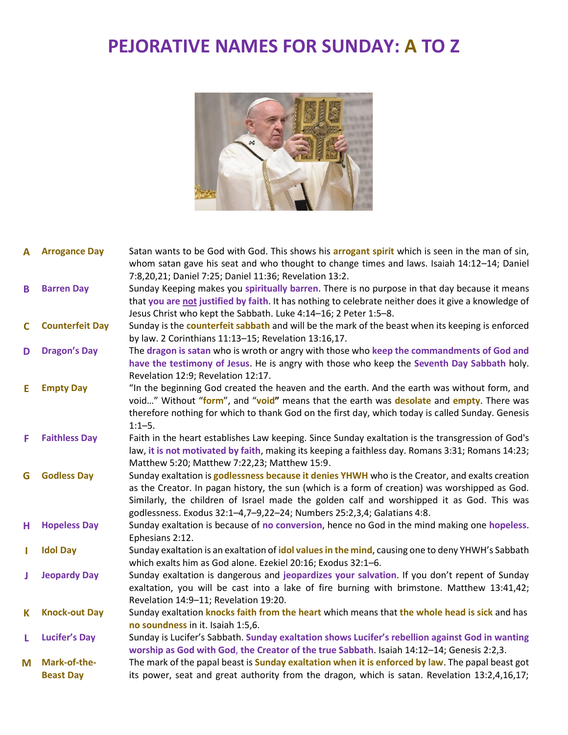## **PEJORATIVE NAMES FOR SUNDAY: A TO Z**



| <b>Arrogance Day</b>   | Satan wants to be God with God. This shows his arrogant spirit which is seen in the man of sin,<br>whom satan gave his seat and who thought to change times and laws. Isaiah 14:12-14; Daniel |
|------------------------|-----------------------------------------------------------------------------------------------------------------------------------------------------------------------------------------------|
|                        | 7:8,20,21; Daniel 7:25; Daniel 11:36; Revelation 13:2.                                                                                                                                        |
|                        | Sunday Keeping makes you spiritually barren. There is no purpose in that day because it means                                                                                                 |
|                        | that you are not justified by faith. It has nothing to celebrate neither does it give a knowledge of                                                                                          |
|                        | Jesus Christ who kept the Sabbath. Luke 4:14-16; 2 Peter 1:5-8.                                                                                                                               |
| <b>Counterfeit Day</b> | Sunday is the counterfeit sabbath and will be the mark of the beast when its keeping is enforced                                                                                              |
|                        | by law. 2 Corinthians 11:13-15; Revelation 13:16,17.                                                                                                                                          |
| <b>Dragon's Day</b>    | The dragon is satan who is wroth or angry with those who keep the commandments of God and                                                                                                     |
|                        | have the testimony of Jesus. He is angry with those who keep the Seventh Day Sabbath holy.                                                                                                    |
|                        | Revelation 12:9; Revelation 12:17.                                                                                                                                                            |
| <b>Empty Day</b>       | "In the beginning God created the heaven and the earth. And the earth was without form, and                                                                                                   |
|                        | void" Without "form", and "void" means that the earth was desolate and empty. There was                                                                                                       |
|                        | therefore nothing for which to thank God on the first day, which today is called Sunday. Genesis                                                                                              |
|                        | $1:1 - 5.$                                                                                                                                                                                    |
|                        | Faith in the heart establishes Law keeping. Since Sunday exaltation is the transgression of God's                                                                                             |
|                        | law, it is not motivated by faith, making its keeping a faithless day. Romans 3:31; Romans 14:23;                                                                                             |
|                        | Matthew 5:20; Matthew 7:22,23; Matthew 15:9.                                                                                                                                                  |
|                        | Sunday exaltation is godlessness because it denies YHWH who is the Creator, and exalts creation                                                                                               |
|                        | as the Creator. In pagan history, the sun (which is a form of creation) was worshipped as God.                                                                                                |
|                        | Similarly, the children of Israel made the golden calf and worshipped it as God. This was                                                                                                     |
|                        | godlessness. Exodus 32:1-4,7-9,22-24; Numbers 25:2,3,4; Galatians 4:8.                                                                                                                        |
|                        | Sunday exaltation is because of no conversion, hence no God in the mind making one hopeless.                                                                                                  |
|                        | Ephesians 2:12.                                                                                                                                                                               |
|                        | Sunday exaltation is an exaltation of idol values in the mind, causing one to deny YHWH's Sabbath                                                                                             |
|                        | which exalts him as God alone. Ezekiel 20:16; Exodus 32:1-6.                                                                                                                                  |
|                        | Sunday exaltation is dangerous and jeopardizes your salvation. If you don't repent of Sunday                                                                                                  |
|                        | exaltation, you will be cast into a lake of fire burning with brimstone. Matthew 13:41,42;                                                                                                    |
|                        | Revelation 14:9-11; Revelation 19:20.                                                                                                                                                         |
|                        | Sunday exaltation knocks faith from the heart which means that the whole head is sick and has                                                                                                 |
|                        | no soundness in it. Isaiah 1:5,6.                                                                                                                                                             |
|                        | Sunday is Lucifer's Sabbath. Sunday exaltation shows Lucifer's rebellion against God in wanting                                                                                               |
|                        | worship as God with God, the Creator of the true Sabbath. Isaiah 14:12-14; Genesis 2:2,3.                                                                                                     |
|                        |                                                                                                                                                                                               |
| Mark-of-the-           | The mark of the papal beast is <b>Sunday exaltation when it is enforced by law</b> . The papal beast got                                                                                      |
|                        | <b>Barren Day</b><br><b>Faithless Day</b><br><b>Godless Day</b><br><b>Hopeless Day</b><br><b>Idol Day</b><br><b>Jeopardy Day</b><br><b>Knock-out Day</b><br><b>Lucifer's Day</b>              |